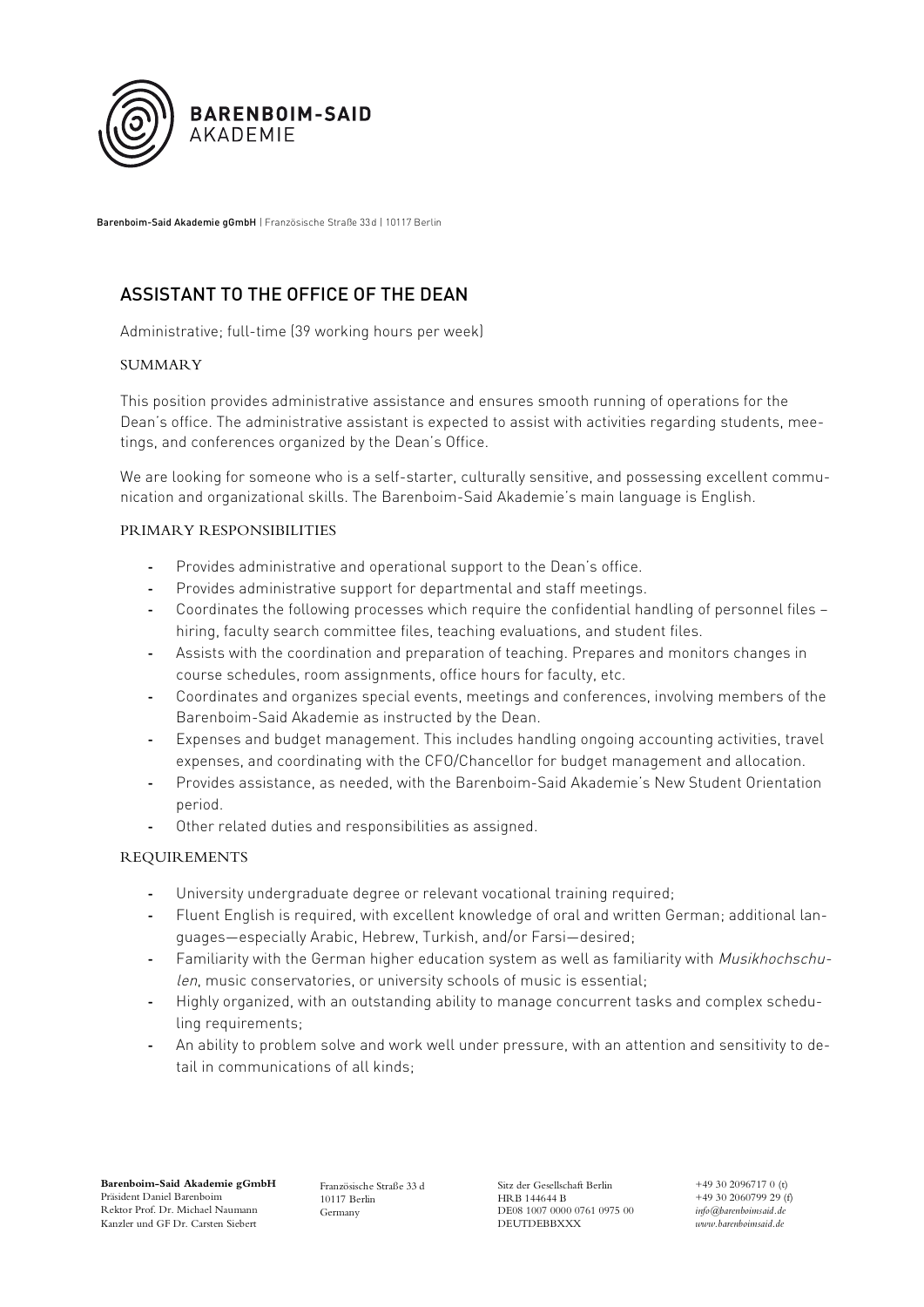

Barenboim-Said Akademie gGmbH | Französische Straße 33d | 10117 Berlin

## ASSISTANT TO THE OFFICE OF THE DEAN

Administrative; full-time (39 working hours per week)

## **SUMMARY**

This position provides administrative assistance and ensures smooth running of operations for the Dean's office. The administrative assistant is expected to assist with activities regarding students, meetings, and conferences organized by the Dean's Office.

We are looking for someone who is a self-starter, culturally sensitive, and possessing excellent communication and organizational skills. The Barenboim-Said Akademie's main language is English.

## PRIMARY RESPONSIBILITIES

- **-** Provides administrative and operational support to the Dean's office.
- **-** Provides administrative support for departmental and staff meetings.
- **-** Coordinates the following processes which require the confidential handling of personnel files hiring, faculty search committee files, teaching evaluations, and student files.
- **-** Assists with the coordination and preparation of teaching. Prepares and monitors changes in course schedules, room assignments, office hours for faculty, etc.
- **-** Coordinates and organizes special events, meetings and conferences, involving members of the Barenboim-Said Akademie as instructed by the Dean.
- **-** Expenses and budget management. This includes handling ongoing accounting activities, travel expenses, and coordinating with the CFO/Chancellor for budget management and allocation.
- **-** Provides assistance, as needed, with the Barenboim-Said Akademie's New Student Orientation period.
- **-** Other related duties and responsibilities as assigned.

## REQUIREMENTS

- **-** University undergraduate degree or relevant vocational training required;
- **-** Fluent English is required, with excellent knowledge of oral and written German; additional languages—especially Arabic, Hebrew, Turkish, and/or Farsi—desired;
- **-** Familiarity with the German higher education system as well as familiarity with Musikhochschulen, music conservatories, or university schools of music is essential;
- **-** Highly organized, with an outstanding ability to manage concurrent tasks and complex scheduling requirements;
- **-** An ability to problem solve and work well under pressure, with an attention and sensitivity to detail in communications of all kinds;

Französische Straße 33 d 10117 Berlin Germany

Sitz der Gesellschaft Berlin HRB 144644 B DE08 1007 0000 0761 0975 00 DEUTDEBBXXX

+49 30 2096717 0 (t) +49 30 2060799 29 (f) *info@barenboimsaid.de www.barenboimsaid.de*